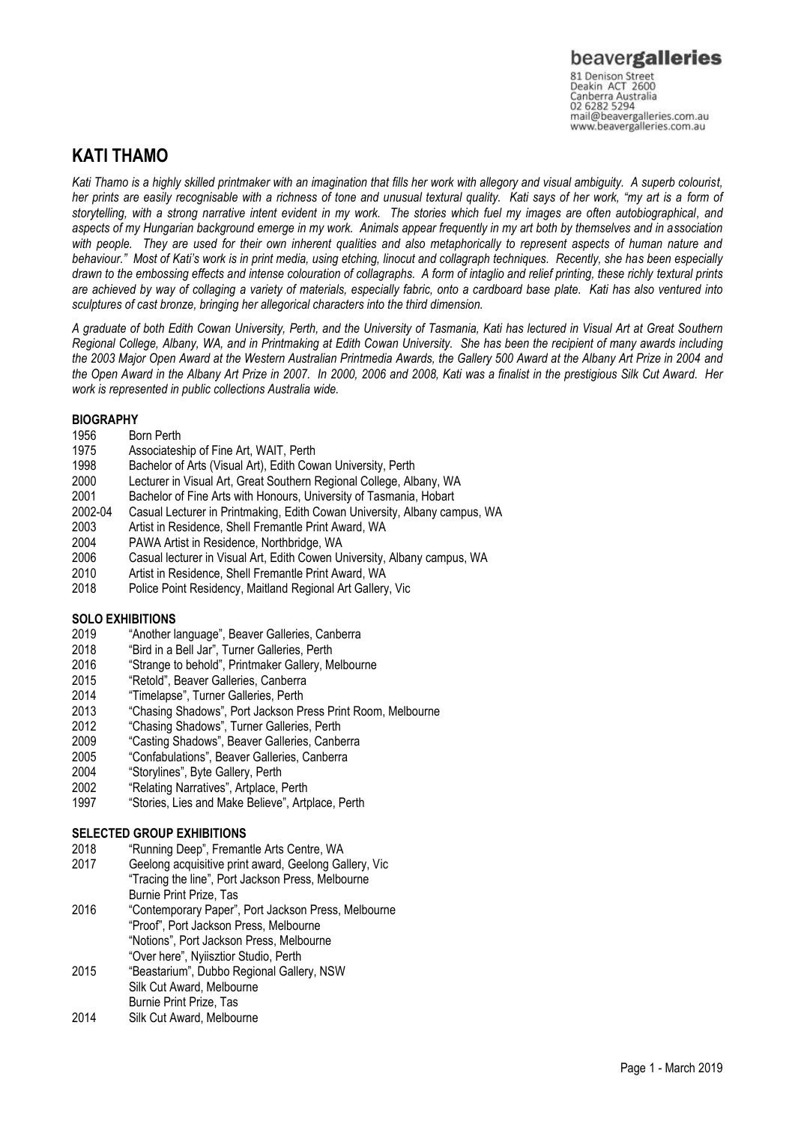Canberra Australia 02 6282 5294 mail@beavergalleries.com.au www.beavergalleries.com.au

## **KATI THAMO**

*Kati Thamo is a highly skilled printmaker with an imagination that fills her work with allegory and visual ambiguity. A superb colourist, her prints are easily recognisable with a richness of tone and unusual textural quality. Kati says of her work, "my art is a form of storytelling, with a strong narrative intent evident in my work. The stories which fuel my images are often autobiographical, and aspects of my Hungarian background emerge in my work. Animals appear frequently in my art both by themselves and in association with people. They are used for their own inherent qualities and also metaphorically to represent aspects of human nature and behaviour." Most of Kati's work is in print media, using etching, linocut and collagraph techniques. Recently, she has been especially drawn to the embossing effects and intense colouration of collagraphs. A form of intaglio and relief printing, these richly textural prints are achieved by way of collaging a variety of materials, especially fabric, onto a cardboard base plate. Kati has also ventured into sculptures of cast bronze, bringing her allegorical characters into the third dimension.* 

*A graduate of both Edith Cowan University, Perth, and the University of Tasmania, Kati has lectured in Visual Art at Great Southern Regional College, Albany, WA, and in Printmaking at Edith Cowan University. She has been the recipient of many awards including the 2003 Major Open Award at the Western Australian Printmedia Awards, the Gallery 500 Award at the Albany Art Prize in 2004 and the Open Award in the Albany Art Prize in 2007. In 2000, 2006 and 2008, Kati was a finalist in the prestigious Silk Cut Award. Her work is represented in public collections Australia wide.*

### **BIOGRAPHY**

- 1956 Born Perth
- 1975 Associateship of Fine Art, WAIT, Perth<br>1998 Bachelor of Arts (Visual Art), Edith Cow
- 1998 Bachelor of Arts (Visual Art), Edith Cowan University, Perth
- Lecturer in Visual Art, Great Southern Regional College, Albany, WA
- 2001 Bachelor of Fine Arts with Honours, University of Tasmania, Hobart
- 2002-04 Casual Lecturer in Printmaking, Edith Cowan University, Albany campus, WA
- Artist in Residence, Shell Fremantle Print Award, WA
- 2004 PAWA Artist in Residence, Northbridge, WA
- 2006 Casual lecturer in Visual Art, Edith Cowen University, Albany campus, WA
- 2010 Artist in Residence, Shell Fremantle Print Award, WA
- 2018 Police Point Residency, Maitland Regional Art Gallery, Vic

# **SOLO EXHIBITIONS**<br>2019 **"Another Is**

- 2019 "Another language", Beaver Galleries, Canberra<br>2018 "Bird in a Bell Jar", Turner Galleries, Perth
- 2018 "Bird in a Bell Jar", Turner Galleries, Perth
- 2016 "Strange to behold", Printmaker Gallery, Melbourne<br>2015 "Retold". Beaver Galleries. Canberra
- 2015 "Retold", Beaver Galleries, Canberra<br>2014 "Timelapse". Turner Galleries. Perth
- "Timelapse", Turner Galleries, Perth
- 2013 "Chasing Shadows", Port Jackson Press Print Room, Melbourne
- 2012 "Chasing Shadows", Turner Galleries, Perth
- 2009 "Casting Shadows", Beaver Galleries, Canberra
- 2005 "Confabulations", Beaver Galleries, Canberra
- 2004 "Storylines", Byte Gallery, Perth
- 2002 "Relating Narratives", Artplace, Perth
- 1997 "Stories, Lies and Make Believe", Artplace, Perth

### **SELECTED GROUP EXHIBITIONS**

- 2018 "Running Deep", Fremantle Arts Centre, WA
- 2017 Geelong acquisitive print award, Geelong Gallery, Vic "Tracing the line", Port Jackson Press, Melbourne
- Burnie Print Prize, Tas 2016 "Contemporary Paper", Port Jackson Press, Melbourne "Proof", Port Jackson Press, Melbourne "Notions", Port Jackson Press, Melbourne "Over here", Nyiisztior Studio, Perth
- 2015 "Beastarium", Dubbo Regional Gallery, NSW Silk Cut Award, Melbourne
- Burnie Print Prize, Tas
- 2014 Silk Cut Award, Melbourne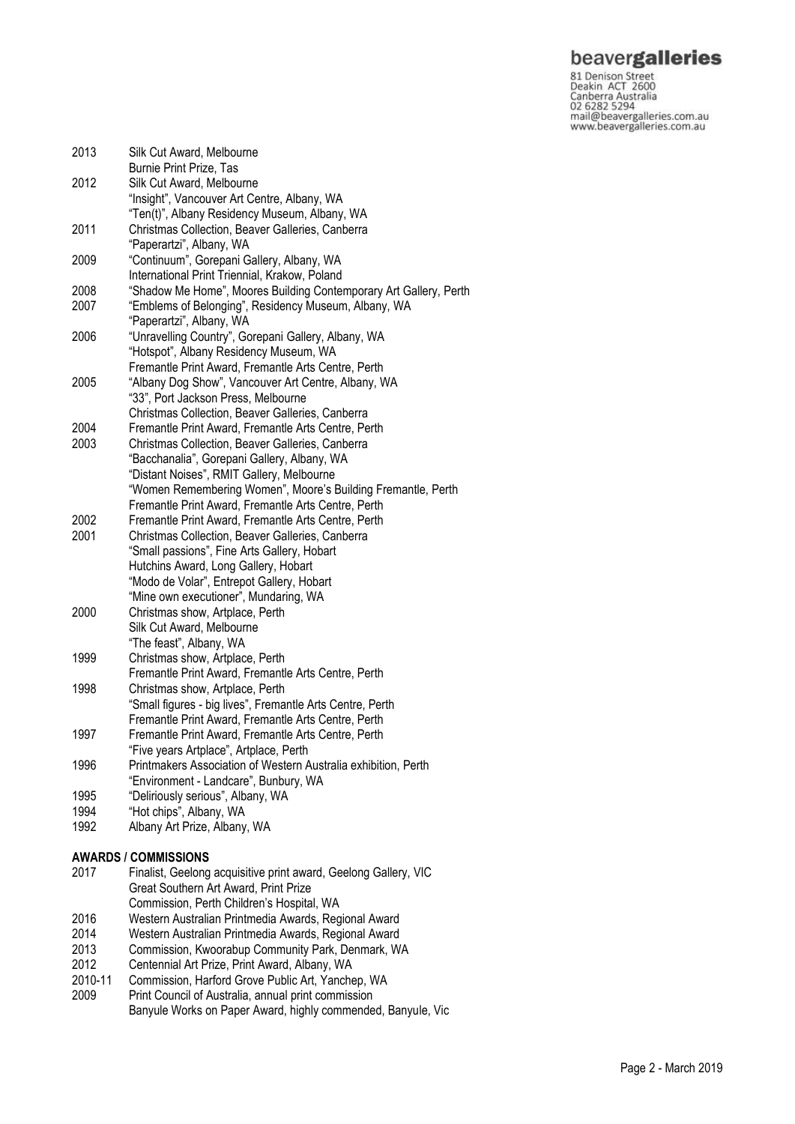### beavergalleries

81 Denison Street<br>
81 Denison Street<br>
Deakin ACT 2600<br>
Canberra Australia<br>
02 6282 5294<br>
mail@beavergalleries.com.au<br>
www.beavergalleries.com.au

| 2013 | Silk Cut Award, Melbourne<br>Burnie Print Prize, Tas                             |
|------|----------------------------------------------------------------------------------|
| 2012 | Silk Cut Award, Melbourne<br>"Insight", Vancouver Art Centre, Albany, WA         |
|      | "Ten(t)", Albany Residency Museum, Albany, WA                                    |
| 2011 | Christmas Collection, Beaver Galleries, Canberra<br>"Paperartzi", Albany, WA     |
| 2009 | "Continuum", Gorepani Gallery, Albany, WA                                        |
|      | International Print Triennial, Krakow, Poland                                    |
| 2008 | "Shadow Me Home", Moores Building Contemporary Art Gallery, Perth                |
| 2007 | "Emblems of Belonging", Residency Museum, Albany, WA<br>"Paperartzi", Albany, WA |
| 2006 | "Unravelling Country", Gorepani Gallery, Albany, WA                              |
|      | "Hotspot", Albany Residency Museum, WA                                           |
|      | Fremantle Print Award, Fremantle Arts Centre, Perth                              |
| 2005 | "Albany Dog Show", Vancouver Art Centre, Albany, WA                              |
|      | "33", Port Jackson Press, Melbourne                                              |
|      | Christmas Collection, Beaver Galleries, Canberra                                 |
| 2004 | Fremantle Print Award, Fremantle Arts Centre, Perth                              |
| 2003 | Christmas Collection, Beaver Galleries, Canberra                                 |
|      | "Bacchanalia", Gorepani Gallery, Albany, WA                                      |
|      | "Distant Noises", RMIT Gallery, Melbourne                                        |
|      | "Women Remembering Women", Moore's Building Fremantle, Perth                     |
|      | Fremantle Print Award, Fremantle Arts Centre, Perth                              |
| 2002 | Fremantle Print Award, Fremantle Arts Centre, Perth                              |
| 2001 | Christmas Collection, Beaver Galleries, Canberra                                 |
|      | "Small passions", Fine Arts Gallery, Hobart                                      |
|      | Hutchins Award, Long Gallery, Hobart                                             |
|      | "Modo de Volar", Entrepot Gallery, Hobart                                        |
|      | "Mine own executioner", Mundaring, WA                                            |
| 2000 | Christmas show, Artplace, Perth                                                  |
|      | Silk Cut Award, Melbourne                                                        |
|      | "The feast", Albany, WA                                                          |
| 1999 | Christmas show, Artplace, Perth                                                  |
|      | Fremantle Print Award, Fremantle Arts Centre, Perth                              |
| 1998 | Christmas show, Artplace, Perth                                                  |
|      | "Small figures - big lives", Fremantle Arts Centre, Perth                        |
|      | Fremantle Print Award, Fremantle Arts Centre, Perth                              |
| 1997 | Fremantle Print Award, Fremantle Arts Centre, Perth                              |
|      | "Five years Artplace", Artplace, Perth                                           |
| 1996 | Printmakers Association of Western Australia exhibition, Perth                   |
|      | "Environment - Landcare", Bunbury, WA                                            |
| 1995 | "Deliriously serious", Albany, WA                                                |
| 1994 | "Hot chips", Albany, WA                                                          |
| 1992 | Albany Art Prize, Albany, WA                                                     |
|      |                                                                                  |

#### **AWARDS / COMMISSIONS**

- 2017 Finalist, Geelong acquisitive print award, Geelong Gallery, VIC Great Southern Art Award, Print Prize Commission, Perth Children's Hospital, WA 2016 Western Australian Printmedia Awards, Regional Award 2014 Western Australian Printmedia Awards, Regional Award
- 2013 Commission, Kwoorabup Community Park, Denmark, WA<br>2012 Centennial Art Prize, Print Award, Albany, WA
- Centennial Art Prize, Print Award, Albany, WA
- 2010-11<br>2009 Commission, Harford Grove Public Art, Yanchep, WA
- Print Council of Australia, annual print commission Banyule Works on Paper Award, highly commended, Banyule, Vic